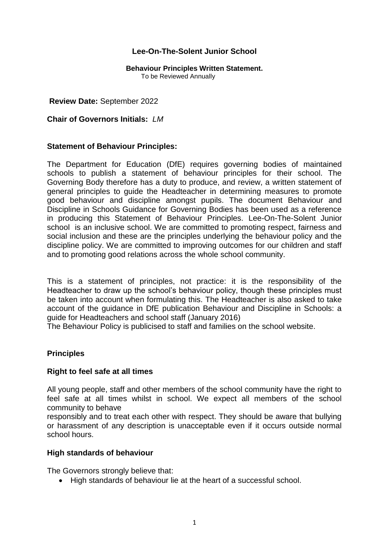# **Lee-On-The-Solent Junior School**

# **Behaviour Principles Written Statement.**

To be Reviewed Annually

#### **Review Date:** September 2022

#### **Chair of Governors Initials:** *LM*

# **Statement of Behaviour Principles:**

The Department for Education (DfE) requires governing bodies of maintained schools to publish a statement of behaviour principles for their school. The Governing Body therefore has a duty to produce, and review, a written statement of general principles to guide the Headteacher in determining measures to promote good behaviour and discipline amongst pupils. The document Behaviour and Discipline in Schools Guidance for Governing Bodies has been used as a reference in producing this Statement of Behaviour Principles. Lee-On-The-Solent Junior school is an inclusive school. We are committed to promoting respect, fairness and social inclusion and these are the principles underlying the behaviour policy and the discipline policy. We are committed to improving outcomes for our children and staff and to promoting good relations across the whole school community.

This is a statement of principles, not practice: it is the responsibility of the Headteacher to draw up the school's behaviour policy, though these principles must be taken into account when formulating this. The Headteacher is also asked to take account of the guidance in DfE publication Behaviour and Discipline in Schools: a guide for Headteachers and school staff (January 2016)

The Behaviour Policy is publicised to staff and families on the school website.

# **Principles**

#### **Right to feel safe at all times**

All young people, staff and other members of the school community have the right to feel safe at all times whilst in school. We expect all members of the school community to behave

responsibly and to treat each other with respect. They should be aware that bullying or harassment of any description is unacceptable even if it occurs outside normal school hours.

#### **High standards of behaviour**

The Governors strongly believe that:

• High standards of behaviour lie at the heart of a successful school.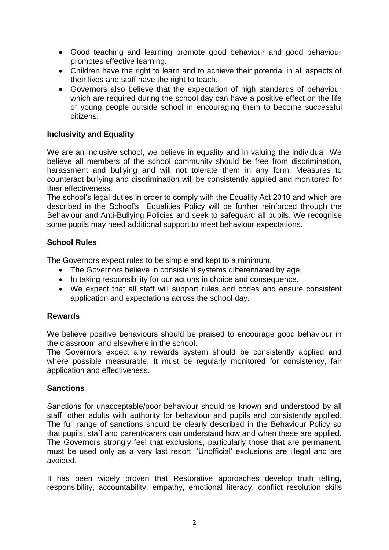- Good teaching and learning promote good behaviour and good behaviour promotes effective learning.
- Children have the right to learn and to achieve their potential in all aspects of their lives and staff have the right to teach.
- Governors also believe that the expectation of high standards of behaviour which are required during the school day can have a positive effect on the life of young people outside school in encouraging them to become successful citizens.

# **Inclusivity and Equality**

We are an inclusive school, we believe in equality and in valuing the individual. We believe all members of the school community should be free from discrimination, harassment and bullying and will not tolerate them in any form. Measures to counteract bullying and discrimination will be consistently applied and monitored for their effectiveness.

The school's legal duties in order to comply with the Equality Act 2010 and which are described in the School's Equalities Policy will be further reinforced through the Behaviour and Anti-Bullying Policies and seek to safeguard all pupils. We recognise some pupils may need additional support to meet behaviour expectations.

# **School Rules**

The Governors expect rules to be simple and kept to a minimum.

- The Governors believe in consistent systems differentiated by age,
- In taking responsibility for our actions in choice and consequence.
- We expect that all staff will support rules and codes and ensure consistent application and expectations across the school day.

# **Rewards**

We believe positive behaviours should be praised to encourage good behaviour in the classroom and elsewhere in the school.

The Governors expect any rewards system should be consistently applied and where possible measurable. It must be regularly monitored for consistency, fair application and effectiveness.

# **Sanctions**

Sanctions for unacceptable/poor behaviour should be known and understood by all staff, other adults with authority for behaviour and pupils and consistently applied. The full range of sanctions should be clearly described in the Behaviour Policy so that pupils, staff and parent/carers can understand how and when these are applied. The Governors strongly feel that exclusions, particularly those that are permanent, must be used only as a very last resort. 'Unofficial' exclusions are illegal and are avoided.

It has been widely proven that Restorative approaches develop truth telling, responsibility, accountability, empathy, emotional literacy, conflict resolution skills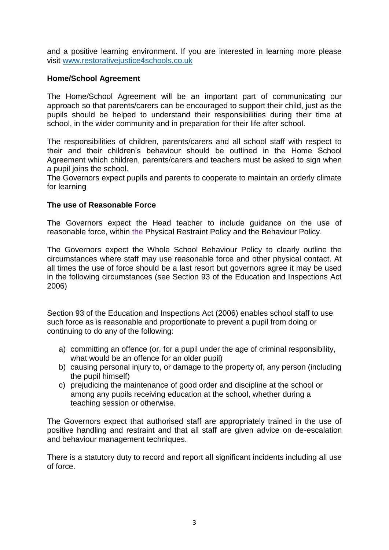and a positive learning environment. If you are interested in learning more please visit [www.restorativejustice4schools.co.uk](http://www.restorativejustice4schools.co.uk/)

# **Home/School Agreement**

The Home/School Agreement will be an important part of communicating our approach so that parents/carers can be encouraged to support their child, just as the pupils should be helped to understand their responsibilities during their time at school, in the wider community and in preparation for their life after school.

The responsibilities of children, parents/carers and all school staff with respect to their and their children's behaviour should be outlined in the Home School Agreement which children, parents/carers and teachers must be asked to sign when a pupil joins the school.

The Governors expect pupils and parents to cooperate to maintain an orderly climate for learning

# **The use of Reasonable Force**

The Governors expect the Head teacher to include guidance on the use of reasonable force, within the Physical Restraint Policy and the Behaviour Policy.

The Governors expect the Whole School Behaviour Policy to clearly outline the circumstances where staff may use reasonable force and other physical contact. At all times the use of force should be a last resort but governors agree it may be used in the following circumstances (see Section 93 of the Education and Inspections Act 2006)

Section 93 of the Education and Inspections Act (2006) enables school staff to use such force as is reasonable and proportionate to prevent a pupil from doing or continuing to do any of the following:

- a) committing an offence (or, for a pupil under the age of criminal responsibility, what would be an offence for an older pupil)
- b) causing personal injury to, or damage to the property of, any person (including the pupil himself)
- c) prejudicing the maintenance of good order and discipline at the school or among any pupils receiving education at the school, whether during a teaching session or otherwise.

The Governors expect that authorised staff are appropriately trained in the use of positive handling and restraint and that all staff are given advice on de-escalation and behaviour management techniques.

There is a statutory duty to record and report all significant incidents including all use of force.